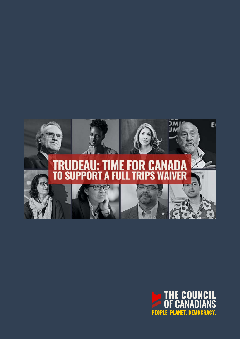

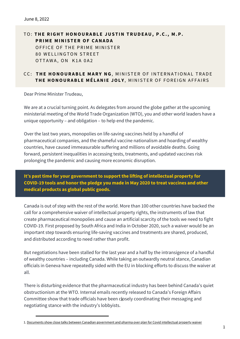**TO: THE RIGHT HONOURABLE JUSTIN TRUDEAU, P.C., M.P. PRIME MINISTER OF CANADA** OFFICE OF THE PRIME MINISTER 80 WELLINGTON STREET OTTAWA, ON K1A 0A2

## CC: THE HONOURABLE MARY NG, MINISTER OF INTERNATIONAL TRADE **THE HONOURABLE MÉLANIE JOLY, MINISTER OF FOREIGN AFFAIRS**

Dear Prime Minister Trudeau,

We are at a crucial turning point. As delegates from around the globe gather at the upcoming ministerial meeting of the World Trade Organization (WTO), you and other world leaders have a unique opportunity – and obligation – to help end the pandemic.

Over the last two years, monopolies on life-saving vaccines held by a handful of pharmaceutical companies, and the shameful vaccine nationalism and hoarding of wealthy countries, have caused immeasurable suffering and millions of avoidable deaths. Going forward, persistent inequalities in accessing tests, treatments, and updated vaccines risk prolonging the pandemic and causing more economic disruption.

## **It's past time for your government to support the lifting of intellectual property for COVID-19 tools and honor the pledge you made in May 2020 to treat vaccines and other medical products as global public goods.**

Canada is out of step with the rest of the world. More than 100 other countries have backed the call for a comprehensive waiver of intellectual property rights, the instruments of law that create pharmaceutical monopolies and cause an artificial scarcity of the tools we need to fight COVID-19. First proposed by South Africa and India in October 2020, such a waiver would be an important step towards ensuring life-saving vaccines and treatments are shared, produced, and distributed according to need rather than profit.

But negotiations have been stalled for the last year and a half by the intransigence of a handful of wealthy countries – including Canada. While taking an outwardly neutral stance, Canadian officials in Geneva have repeatedly sided with the EU in blocking efforts to discuss the waiver at all.

There is disturbing evidence that the pharmaceutical industry has been behind Canada's quiet obstructionism at the WTO. Internal emails recently released to Canada's Foreign Affairs Committee show that trade officials have been closely coordinating their messaging and negotiating stance with the industry's lobbyists.

<sup>1.</sup> [Documents show close talks between Canadian government and pharma over plan for Covid intellectual property waiver](https://www.politico.com/news/2022/04/26/canada-coronavirus-intellectual-property-waiver-00027660)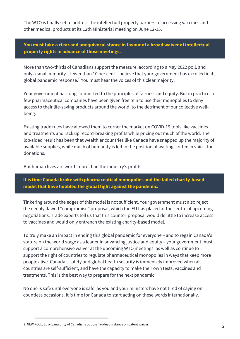The WTO is finally set to address the intellectual property barriers to accessing vaccines and other medical products at its 12th Ministerial meeting on June 12-15.

**You must take a clear and unequivocal stance in favour of a broad waiver of intellectual property rights in advance of those meetings.**

More than two-thirds of Canadians support the measure, according to a May 2022 poll, and only a small minority – fewer than 10 per cent – believe that your government has excelled in its global pandemic response. $^2$  You must hear the voices of this clear majority.

Your government has long committed to the principles of fairness and equity. But in practice, a few pharmaceutical companies have been given free rein to use their monopolies to deny access to their life-saving products around the world, to the detriment of our collective wellbeing.

Existing trade rules have allowed them to corner the market on COVID-19 tools like vaccines and treatments and rack up record-breaking profits while pricing out much of the world. The lop-sided result has been that wealthier countries like Canada have snapped up the majority of available supplies, while much of humanity is left in the position of waiting – often in vain – for donations.

But human lives are worth more than the industry's profits.

**It is time Canada broke with pharmaceutical monopolies and the failed charity-based model that have hobbled the global fight against the pandemic.**

Tinkering around the edges of this model is not sufficient. Your government must also reject the deeply flawed "compromise" proposal, which the EU has placed at the centre of upcoming negotiations. Trade experts tell us that this counter-proposal would do little to increase access to vaccines and would only entrench the existing charity-based model.

To truly make an impact in ending this global pandemic for everyone – and to regain Canada's stature on the world stage as a leader in advancing justice and equity – your government must support a comprehensive waiver at the upcoming WTO meetings, as well as continue to support the right of countries to regulate pharmaceutical monopolies in ways that keep more people alive. Canada's safety and global health security is immensely improved when all countries are self-sufficient, and have the capacity to make their own tests, vaccines and treatments. This is the best way to prepare for the next pandemic.

No one is safe until everyone is safe, as you and your ministers have not tired of saying on countless occasions. It is time for Canada to start acting on these words internationally.

<sup>2.</sup> [NEW POLL: Strong majority of Canadians oppose Trudeau's stance on patent waiver](https://canadians.org/update/new-poll-strong-majority-canadians-oppose-trudeaus-stance-patent-waiver-wto)